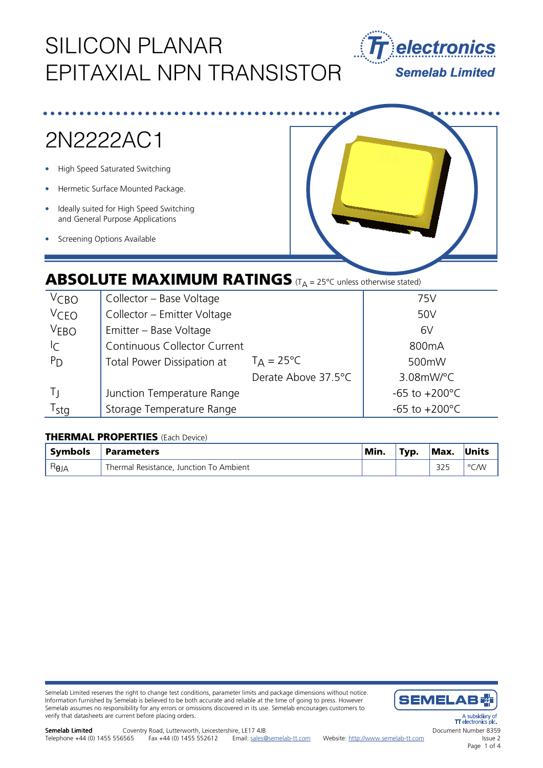# SILICON PLANAR EPITAXIAL NPN TRANSISTOR



# 2N2222AC1

- High Speed Saturated Switching
- Hermetic Surface Mounted Package.
- Ideally suited for High Speed Switching and General Purpose Applications
- **Screening Options Available**



### **ABSOLUTE MAXIMUM RATINGS** (T<sub>A</sub> = 25°C unless otherwise stated)

| V <sub>CBO</sub>              | Collector - Base Voltage     |                     | 75V                       |
|-------------------------------|------------------------------|---------------------|---------------------------|
| <b>VCEO</b>                   | Collector - Emitter Voltage  |                     | 50V                       |
| V <sub>EBO</sub>              | Emitter - Base Voltage       |                     | 6V                        |
| $\mathsf{I}\subset\mathsf{I}$ | Continuous Collector Current |                     | 800 <sub>m</sub> A        |
| $P_{D}$                       | Total Power Dissipation at   | $T_A = 25^{\circ}C$ | 500mW                     |
|                               |                              | Derate Above 37.5°C | $3.08$ mW/°C              |
| Τı                            | Junction Temperature Range   |                     | $-65$ to $+200^{\circ}$ C |
| r <sub>stg</sub>              | Storage Temperature Range    |                     | $-65$ to $+200^{\circ}$ C |

### THERMAL PROPERTIES (Each Device)

| <b>Symbols</b> | ' Parameters                            | Min. | Typ. | Max. | Units |
|----------------|-----------------------------------------|------|------|------|-------|
| $H_{\theta$ JA | Thermal Resistance, Junction To Ambient |      |      | つつに  | °C/W  |

Semelab Limited reserves the right to change test conditions, parameter limits and package dimensions without notice. Information furnished by Semelab is believed to be both accurate and reliable at the time of going to press. However Semelab assumes no responsibility for any errors or omissions discovered in its use. Semelab encourages customers to verify that datasheets are current before placing orders.



A subsidial<br>TT electronics ectronics r Document Number 8359 Issue 2 Page 1 of 4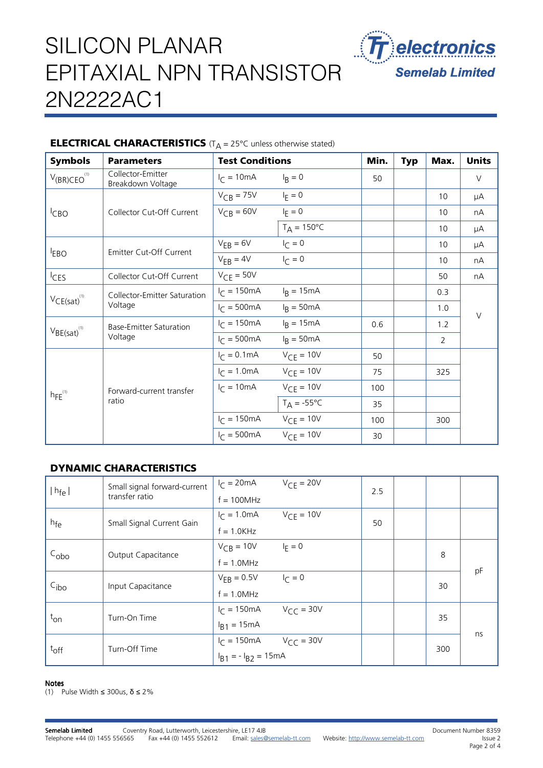# SILICON PLANAR EPITAXIAL NPN TRANSISTOR 2N2222AC1



### **ELECTRICAL CHARACTERISTICS** ( $T_A = 25^{\circ}$ C unless otherwise stated)

| <b>Symbols</b>               | <b>Parameters</b>                       | <b>Test Conditions</b>  |                      | Min. | <b>Typ</b> | Max. | <b>Units</b> |
|------------------------------|-----------------------------------------|-------------------------|----------------------|------|------------|------|--------------|
| $V_{(BR)CEO}^{(1)}$          | Collector-Emitter<br>Breakdown Voltage  | $I_C = 10mA$            | $I_R = 0$            | 50   |            |      | $\vee$       |
| <sup>I</sup> CBO             | Collector Cut-Off Current               | $V_{CB} = 75V$          | $I_F = 0$            |      |            | 10   | μA           |
|                              |                                         | $V_{CB} = 60V$          | $I_F = 0$            |      |            | 10   | nА           |
|                              |                                         |                         | $T_A = 150^{\circ}C$ |      |            | 10   | μA           |
|                              | Emitter Cut-Off Current                 | $V_{EB} = 6V$           | $I_{C} = 0$          |      |            | 10   | μA           |
| <sup>I</sup> EBO             |                                         | $V_{EB} = 4V$           | $I_{C} = 0$          |      |            | 10   | nA           |
| <sup>I</sup> CES             | Collector Cut-Off Current               | $V_{CF} = 50V$          |                      |      |            | 50   | nА           |
| $VCE(sat)^{(1)}$             | Collector-Emitter Saturation<br>Voltage | $I_C = 150 \text{mA}$   | $I_R = 15mA$         |      |            | 0.3  |              |
|                              |                                         | $I_C = 500 \text{mA}$   | $I_R = 50mA$         |      |            | 1.0  |              |
| $V_{BE(sat)}$ <sup>(1)</sup> | Base-Emitter Saturation<br>Voltage      | $I_{C} = 150 \text{mA}$ | $IR = 15mA$          | 0.6  |            | 1.2  | $\vee$       |
|                              |                                         | $I_C = 500 \text{mA}$   | $I_R = 50mA$         |      |            | 2    |              |
| $hFE^{(1)}$                  | Forward-current transfer<br>ratio       | $I_C = 0.1 \text{mA}$   | $V_{CF} = 10V$       | 50   |            |      |              |
|                              |                                         | $I_{C} = 1.0 \text{mA}$ | $V_{CE} = 10V$       | 75   |            | 325  |              |
|                              |                                         | $I_C = 10mA$            | $V_{CF} = 10V$       | 100  |            |      |              |
|                              |                                         |                         | $T_A = -55^{\circ}C$ | 35   |            |      |              |
|                              |                                         | $I_C = 150 \text{mA}$   | $V_{CF} = 10V$       | 100  |            | 300  |              |
|                              |                                         | $IC = 500mA$            | $V_{CF} = 10V$       | 30   |            |      |              |

### DYNAMIC CHARACTERISTICS

| $ h_{fe} $       | Small signal forward-current<br>transfer ratio | $I_{\Gamma} = 20 \text{mA}$ | $V_{CF} = 20V$        | 2.5 |    |     |  |
|------------------|------------------------------------------------|-----------------------------|-----------------------|-----|----|-----|--|
|                  |                                                | $f = 100 MHz$               |                       |     |    |     |  |
| h <sub>fe</sub>  | Small Signal Current Gain                      | $I_C = 1.0 \text{mA}$       | $V_{CF} = 10V$        | 50  |    |     |  |
|                  |                                                | $f = 1.0K$ Hz               |                       |     |    |     |  |
| $C_{\rm obo}$    | Output Capacitance                             | $V_{CR}$ = 10V              | $I_F = 0$             |     | 8  |     |  |
|                  |                                                | $f = 1.0 MHz$               |                       |     |    | pF  |  |
| C <sub>ibo</sub> | Input Capacitance                              | $V_{FB} = 0.5V$             | $I_{\Gamma} = 0$      |     | 30 |     |  |
|                  |                                                | $f = 1.0 MHz$               |                       |     |    |     |  |
| $t_{\text{on}}$  | Turn-On Time                                   | $I_C = 150 \text{mA}$       | $V_{\text{CC}} = 30V$ |     | 35 |     |  |
|                  |                                                | $I_{B1} = 15mA$             |                       |     |    | ns  |  |
| $t_{\rm off}$    | Turn-Off Time                                  | $I_C = 150 \text{mA}$       | $V_{CC}$ = 30V        |     |    | 300 |  |
|                  |                                                | $I_{B1} = -I_{B2} = 15mA$   |                       |     |    |     |  |

#### Notes

(1) Pulse Width ≤ 300us, δ ≤ 2%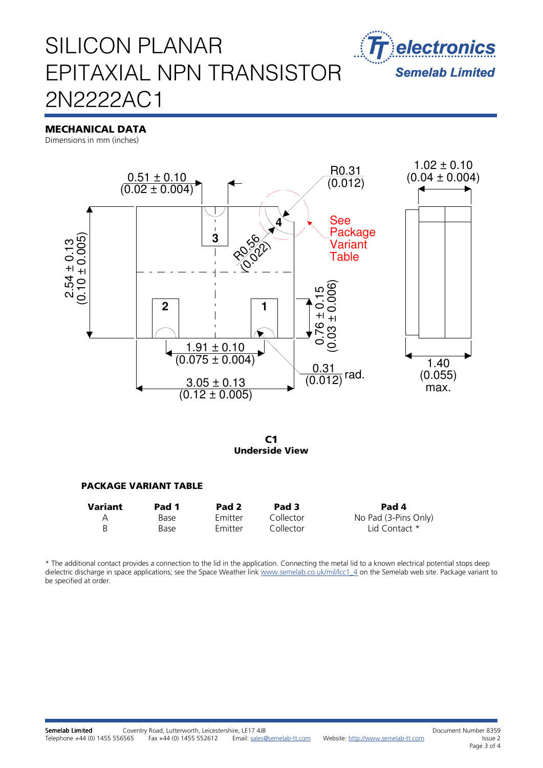

### SILICON PLANAR EPITAXIAL NPN TRANSISTOR 2N2222AC1

### MECHANICAL DATA

Dimensions in mm (inches)



C1 Underside View

#### PACKAGE VARIANT TABLE

| Variant | Pad 1 | Pad <sub>2</sub> | Pad 3     | Pad 4                |
|---------|-------|------------------|-----------|----------------------|
| A       | Base  | <b>Emitter</b>   | Collector | No Pad (3-Pins Only) |
| B       | Base  | Emitter          | Collector | Lid Contact *        |

\* The additional contact provides a connection to the lid in the application. Connecting the metal lid to a known electrical potential stops deep dielectric discharge in space applications; see the Space Weather link www.semelab.co.uk/mil/lcc1\_4 on the Semelab web site. Package variant to be specified at order.